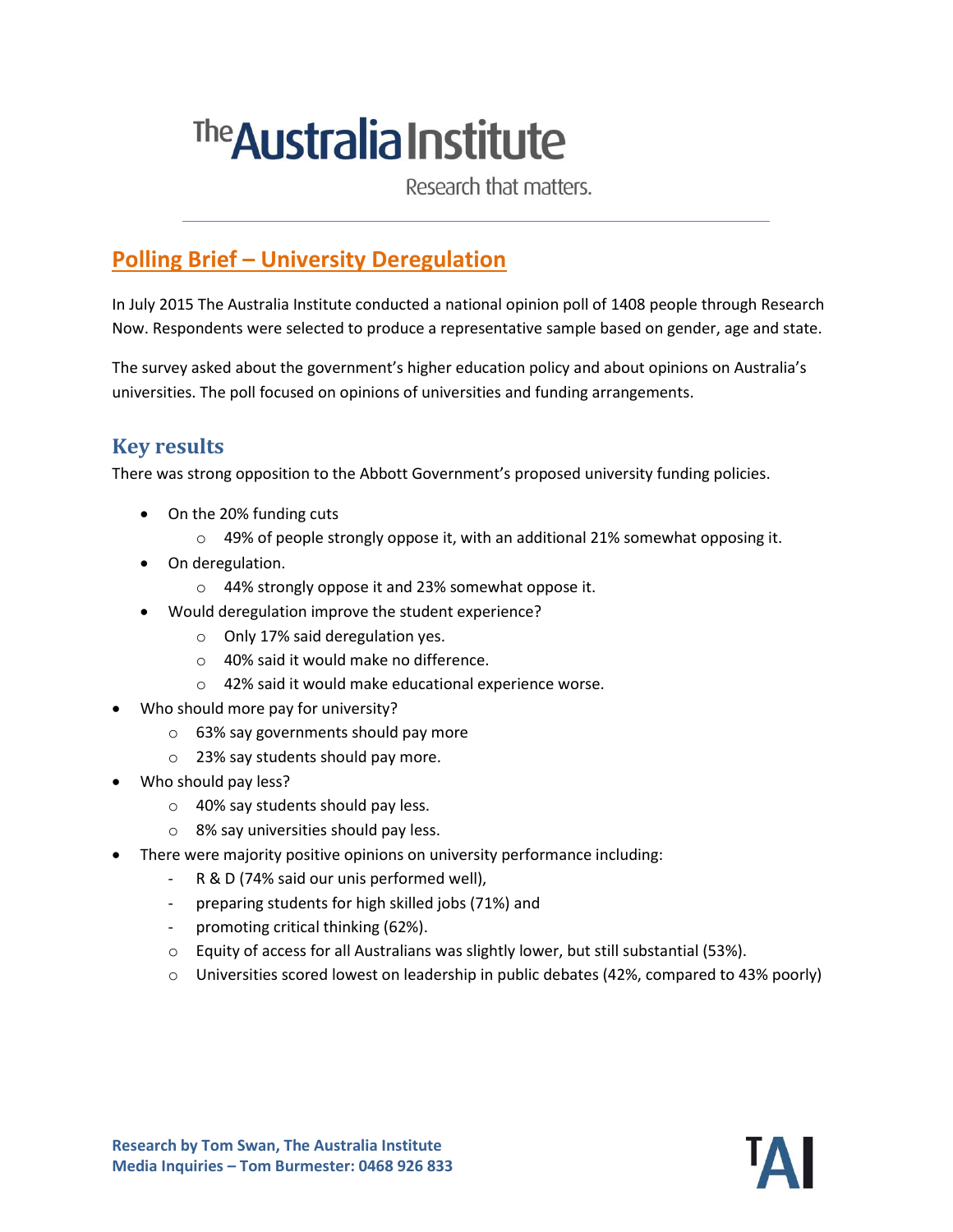# The **Australia Institute**

Research that matters.

## **Polling Brief – University Deregulation**

In July 2015 The Australia Institute conducted a national opinion poll of 1408 people through Research Now. Respondents were selected to produce a representative sample based on gender, age and state.

The survey asked about the government's higher education policy and about opinions on Australia's universities. The poll focused on opinions of universities and funding arrangements.

#### **Key results**

There was strong opposition to the Abbott Government's proposed university funding policies.

- On the 20% funding cuts
	- $\circ$  49% of people strongly oppose it, with an additional 21% somewhat opposing it.
- On deregulation.
	- o 44% strongly oppose it and 23% somewhat oppose it.
	- Would deregulation improve the student experience?
		- o Only 17% said deregulation yes.
		- o 40% said it would make no difference.
		- o 42% said it would make educational experience worse.
- Who should more pay for university?
	- o 63% say governments should pay more
	- o 23% say students should pay more.
- Who should pay less?
	- o 40% say students should pay less.
	- o 8% say universities should pay less.
- There were majority positive opinions on university performance including:
	- R & D (74% said our unis performed well),
	- preparing students for high skilled jobs (71%) and
	- promoting critical thinking (62%).
	- $\circ$  Equity of access for all Australians was slightly lower, but still substantial (53%).
	- o Universities scored lowest on leadership in public debates (42%, compared to 43% poorly)

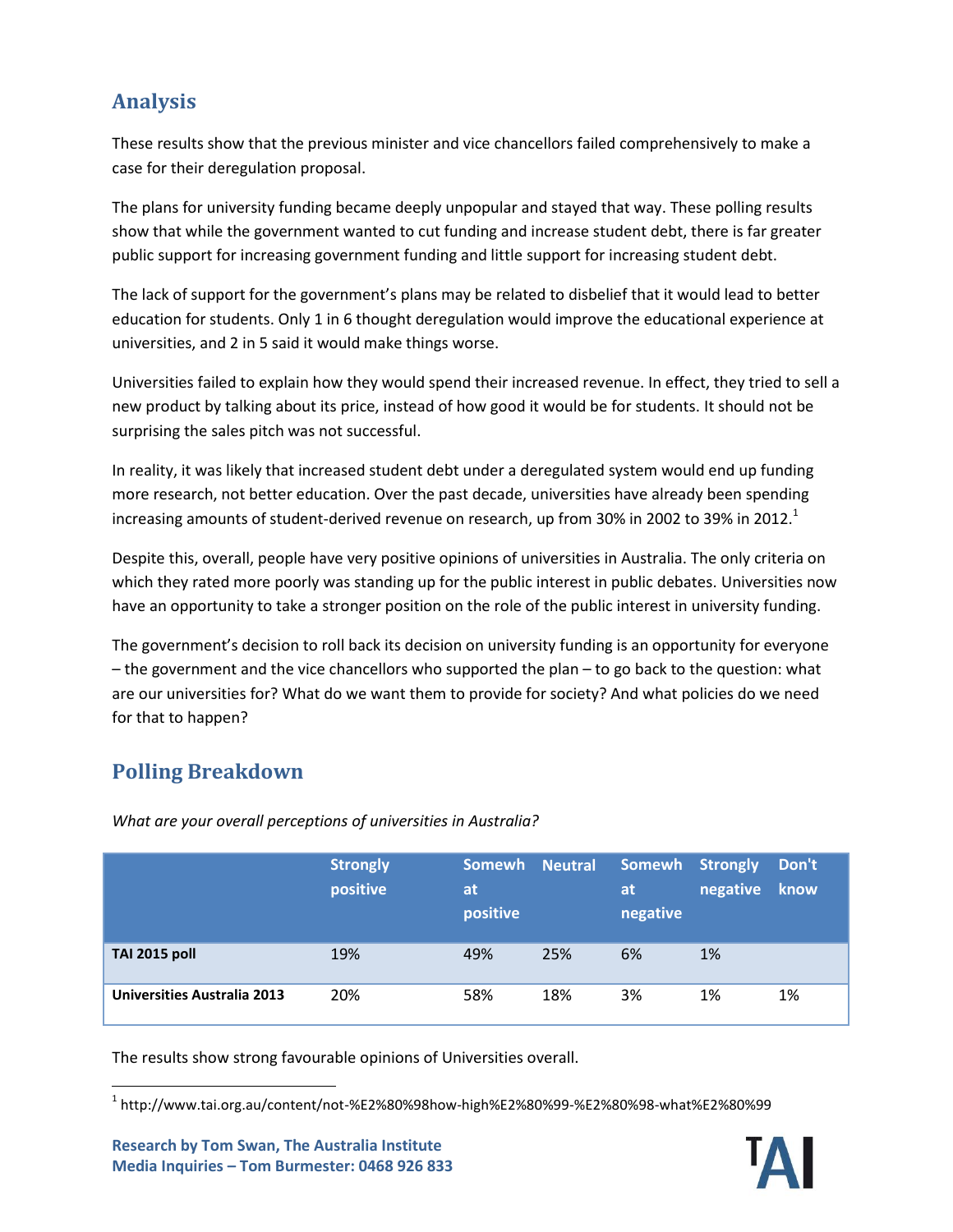### **Analysis**

These results show that the previous minister and vice chancellors failed comprehensively to make a case for their deregulation proposal.

The plans for university funding became deeply unpopular and stayed that way. These polling results show that while the government wanted to cut funding and increase student debt, there is far greater public support for increasing government funding and little support for increasing student debt.

The lack of support for the government's plans may be related to disbelief that it would lead to better education for students. Only 1 in 6 thought deregulation would improve the educational experience at universities, and 2 in 5 said it would make things worse.

Universities failed to explain how they would spend their increased revenue. In effect, they tried to sell a new product by talking about its price, instead of how good it would be for students. It should not be surprising the sales pitch was not successful.

In reality, it was likely that increased student debt under a deregulated system would end up funding more research, not better education. Over the past decade, universities have already been spending increasing amounts of student-derived revenue on research, up from 30% in 2002 to 39% in 2012.<sup>1</sup>

Despite this, overall, people have very positive opinions of universities in Australia. The only criteria on which they rated more poorly was standing up for the public interest in public debates. Universities now have an opportunity to take a stronger position on the role of the public interest in university funding.

The government's decision to roll back its decision on university funding is an opportunity for everyone – the government and the vice chancellors who supported the plan – to go back to the question: what are our universities for? What do we want them to provide for society? And what policies do we need for that to happen?

#### **Polling Breakdown**

|                                    | <b>Strongly</b><br>positive | Somewh Neutral<br><b>at</b><br>positive |     | Somewh Strongly<br><b>at</b><br>negative | negative | Don't<br>know |
|------------------------------------|-----------------------------|-----------------------------------------|-----|------------------------------------------|----------|---------------|
| <b>TAI 2015 poll</b>               | 19%                         | 49%                                     | 25% | 6%                                       | 1%       |               |
| <b>Universities Australia 2013</b> | 20%                         | 58%                                     | 18% | 3%                                       | 1%       | 1%            |

*What are your overall perceptions of universities in Australia?*

The results show strong favourable opinions of Universities overall.



 $\overline{a}$  $^{\rm 1}$  http://www.tai.org.au/content/not-%E2%80%98how-high%E2%80%99-%E2%80%98-what%E2%80%99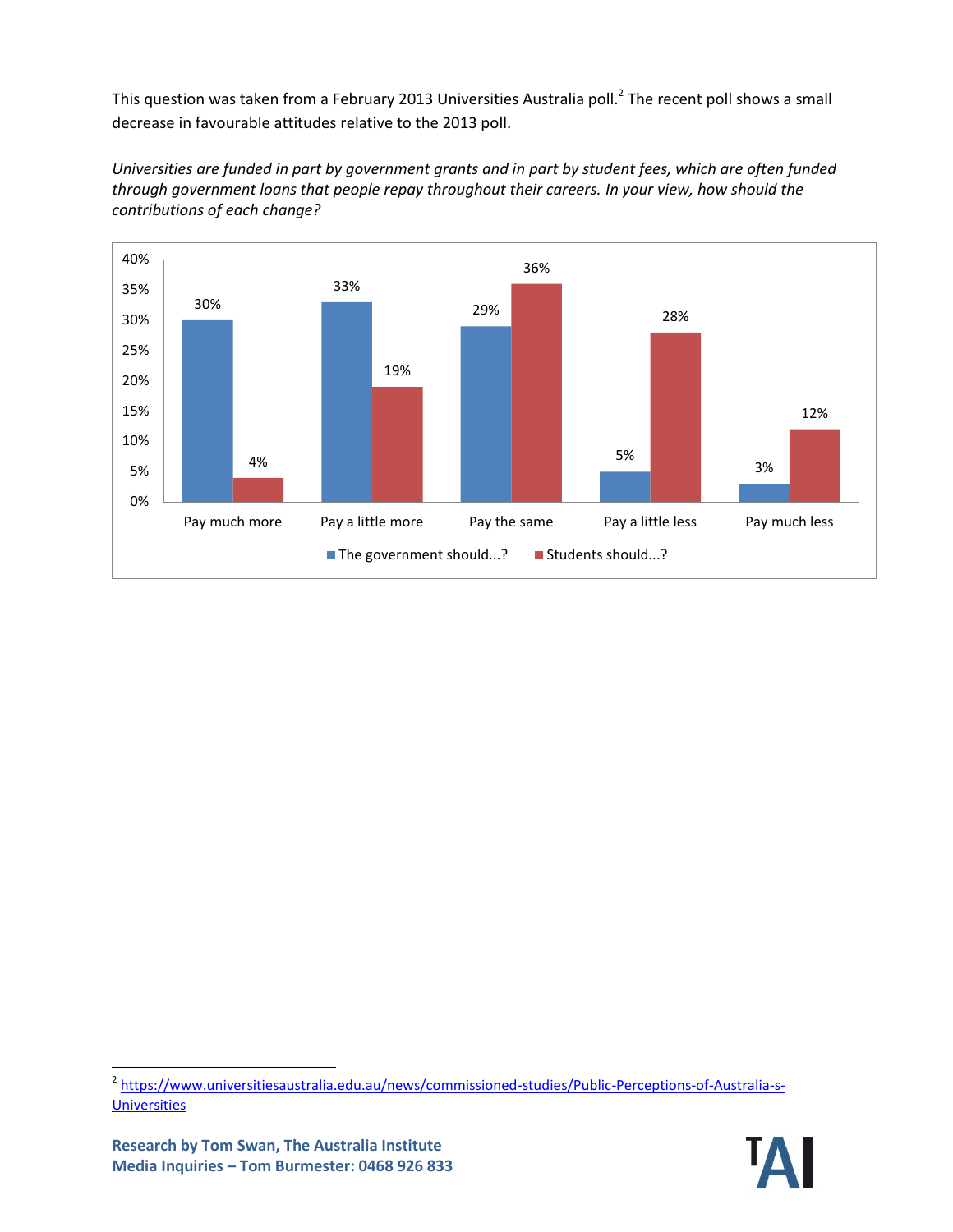This question was taken from a February 2013 Universities Australia poll.<sup>2</sup> The recent poll shows a small decrease in favourable attitudes relative to the 2013 poll.

*Universities are funded in part by government grants and in part by student fees, which are often funded through government loans that people repay throughout their careers. In your view, how should the contributions of each change?*



<sup>&</sup>lt;sup>2</sup> [https://www.universitiesaustralia.edu.au/news/commissioned-studies/Public-Perceptions-of-Australia-s-](https://www.universitiesaustralia.edu.au/news/commissioned-studies/Public-Perceptions-of-Australia-s-Universities)**[Universities](https://www.universitiesaustralia.edu.au/news/commissioned-studies/Public-Perceptions-of-Australia-s-Universities)** 



 $\overline{\phantom{a}}$